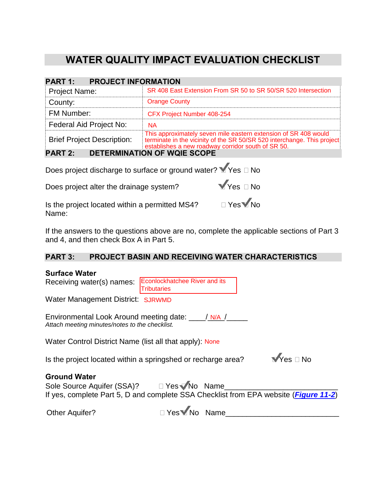# **WATER QUALITY IMPACT EVALUATION CHECKLIST**

| <b>PROJECT INFORMATION</b><br><b>PART 1:</b>         |                                                                                                                                                                                               |  |  |  |  |  |
|------------------------------------------------------|-----------------------------------------------------------------------------------------------------------------------------------------------------------------------------------------------|--|--|--|--|--|
| <b>Project Name:</b>                                 | SR 408 East Extension From SR 50 to SR 50/SR 520 Intersection                                                                                                                                 |  |  |  |  |  |
| County:                                              | <b>Orange County</b>                                                                                                                                                                          |  |  |  |  |  |
| <b>FM Number:</b>                                    | CFX Project Number 408-254                                                                                                                                                                    |  |  |  |  |  |
| Federal Aid Project No:                              | <b>NA</b>                                                                                                                                                                                     |  |  |  |  |  |
| <b>Brief Project Description:</b>                    | This approximately seven mile eastern extension of SR 408 would<br>terminate in the vicinity of the SR 50/SR 520 interchange. This project establishes a new roadway corridor south of SR 50. |  |  |  |  |  |
| <b>DETERMINATION OF WOIE SCOPE</b><br><b>PART 2:</b> |                                                                                                                                                                                               |  |  |  |  |  |

### **PART 3: PROJECT BASIN AND RECEIVING WATER CHARACTERISTICS**

| establishes a new roadway corridor south of SR 50.                                                                                                                                                                                                             |
|----------------------------------------------------------------------------------------------------------------------------------------------------------------------------------------------------------------------------------------------------------------|
| <b>PART 2:</b><br><b>DETERMINATION OF WOIE SCOPE</b>                                                                                                                                                                                                           |
| Does project discharge to surface or ground water? Yes □ No                                                                                                                                                                                                    |
| $Y$ es $\Box$ No<br>Does project alter the drainage system?                                                                                                                                                                                                    |
| Is the project located within a permitted MS4? □ Yes Mo<br>Name:                                                                                                                                                                                               |
| If the answers to the questions above are no, complete the applicable sections of Part 3<br>and 4, and then check Box A in Part 5.                                                                                                                             |
| <b>PART 3:</b><br><b>PROJECT BASIN AND RECEIVING WATER CHARACTERISTICS</b>                                                                                                                                                                                     |
| <b>Surface Water</b><br><b>Econlockhatchee River and its</b><br>Receiving water(s) names:<br><b>Tributaries</b><br>Water Management District: SJRWMD<br>Environmental Look Around meeting date: \[\[\] N/A /<br>Attach meeting minutes/notes to the checklist. |
| Water Control District Name (list all that apply): None                                                                                                                                                                                                        |
| $\sqrt{Y}$ es $\Box$ No<br>Is the project located within a springshed or recharge area?                                                                                                                                                                        |
| <b>Ground Water</b><br>Sole Source Aquifer (SSA)?<br><u> </u> $\Box$ Yes Mo Name<br>If yes, complete Part 5, D and complete SSA Checklist from EPA website ( <i>Figure 11-2</i> )                                                                              |
| □ Yes Mo Name<br><b>Other Aquifer?</b>                                                                                                                                                                                                                         |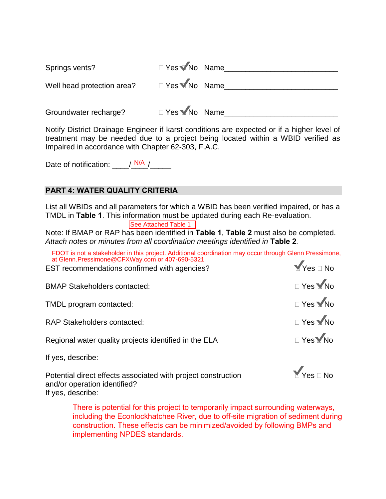| Springs vents?             | □ Yes Mo Name |  |
|----------------------------|---------------|--|
| Well head protection area? | □ Yes Mo Name |  |
| Groundwater recharge?      | □ Yes Mo Name |  |

Notify District Drainage Engineer if karst conditions are expected or if a higher level of treatment may be needed due to a project being located within a WBID verified as Impaired in accordance with Chapter 62-303, F.A.C.

Date of notification:  $\frac{N}{A}$ 

#### **PART 4: WATER QUALITY CRITERIA**

List all WBIDs and all parameters for which a WBID has been verified impaired, or has a TMDL in **Table 1**. This information must be updated during each Re-evaluation.

Note: If BMAP or RAP has been identified in **Table 1**, **Table 2** must also be completed. *Attach notes or minutes from all coordination meetings identified in* **Table 2***.* Ese Attached Table 1<br>The Steen identified in Tatach notes or minutes from all coordination me<br>FDOT is not a stakeholder in this project. Additional contract Glenn.Pressimone@CFXWay.com or 407-690-5321

FDOT is not a stakeholder in this project. Additional coordination may occur through Glenn Pressimone, at Glenn.Pressimone@CFXWay.com or 407-690-5321

| EST recommendations confirmed with agencies?          | $M$ Yes $\Box$ No |
|-------------------------------------------------------|-------------------|
| <b>BMAP Stakeholders contacted:</b>                   | □ Yes Mo          |
| TMDL program contacted:                               | □ Yes WNo         |
| <b>RAP Stakeholders contacted:</b>                    | □ Yes MNo         |
| Regional water quality projects identified in the ELA | <b>□ Yes</b> No   |
| If yes, describe:                                     |                   |

Potential direct effects associated with project construction  $\blacksquare$  Yes  $\square$  No and/or operation identified? If yes, describe:

There is potential for this project to temporarily impact surrounding waterways, including the Econlockhatchee River, due to off-site migration of sediment during construction. These effects can be minimized/avoided by following BMPs and implementing NPDES standards.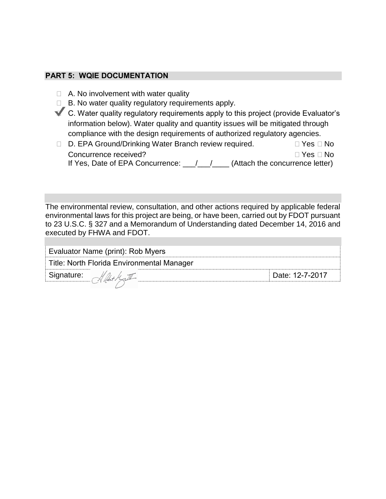#### **PART 5: WQIE DOCUMENTATION**

- $\Box$  A. No involvement with water quality
- $\Box$  B. No water quality regulatory requirements apply.
- C. Water quality regulatory requirements apply to this project (provide Evaluator's information below). Water quality and quantity issues will be mitigated through compliance with the design requirements of authorized regulatory agencies.
- □ D. EPA Ground/Drinking Water Branch review required. □ Yes □ No Concurrence received? Yes No If Yes, Date of EPA Concurrence:  $\underline{\qquad \qquad }$  /  $\underline{\qquad \qquad }$  (Attach the concurrence letter)

The environmental review, consultation, and other actions required by applicable federal environmental laws for this project are being, or have been, carried out by FDOT pursuant to 23 U.S.C. § 327 and a Memorandum of Understanding dated December 14, 2016 and executed by FHWA and FDOT.

| Evaluator Name (print): Rob Myers          |                 |  |  |  |  |
|--------------------------------------------|-----------------|--|--|--|--|
| Title: North Florida Environmental Manager |                 |  |  |  |  |
| <sup>*</sup> Signature:                    | Date: 12-7-2017 |  |  |  |  |
|                                            |                 |  |  |  |  |